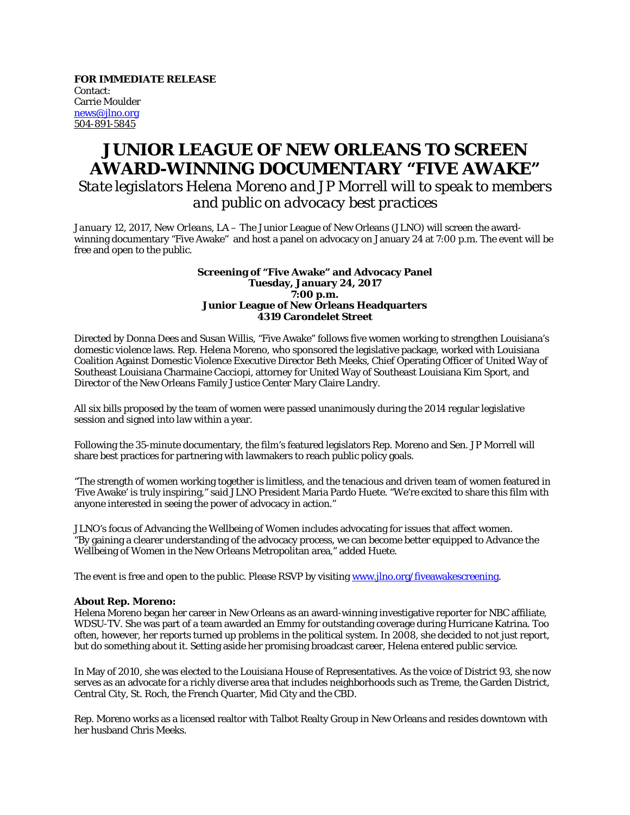**FOR IMMEDIATE RELEASE** Contact: Carrie Moulder news@jlno.org 504-891-5845

## **JUNIOR LEAGUE OF NEW ORLEANS TO SCREEN AWARD-WINNING DOCUMENTARY "FIVE AWAKE"**

*State legislators Helena Moreno and JP Morrell will to speak to members and public on advocacy best practices*

*January 12, 2017, New Orleans, LA* – The Junior League of New Orleans (JLNO) will screen the awardwinning documentary "Five Awake" and host a panel on advocacy on January 24 at 7:00 p.m. The event will be free and open to the public.

## **Screening of "Five Awake" and Advocacy Panel Tuesday, January 24, 2017 7:00 p.m. Junior League of New Orleans Headquarters 4319 Carondelet Street**

Directed by Donna Dees and Susan Willis, "Five Awake" follows five women working to strengthen Louisiana's domestic violence laws. Rep. Helena Moreno, who sponsored the legislative package, worked with Louisiana Coalition Against Domestic Violence Executive Director Beth Meeks, Chief Operating Officer of United Way of Southeast Louisiana Charmaine Cacciopi, attorney for United Way of Southeast Louisiana Kim Sport, and Director of the New Orleans Family Justice Center Mary Claire Landry.

All six bills proposed by the team of women were passed unanimously during the 2014 regular legislative session and signed into law within a year.

Following the 35-minute documentary, the film's featured legislators Rep. Moreno and Sen. JP Morrell will share best practices for partnering with lawmakers to reach public policy goals.

"The strength of women working together is limitless, and the tenacious and driven team of women featured in 'Five Awake' is truly inspiring," said JLNO President Maria Pardo Huete. "We're excited to share this film with anyone interested in seeing the power of advocacy in action."

JLNO's focus of Advancing the Wellbeing of Women includes advocating for issues that affect women. "By gaining a clearer understanding of the advocacy process, we can become better equipped to Advance the Wellbeing of Women in the New Orleans Metropolitan area," added Huete.

The event is free and open to the public. Please RSVP by visiting www.jlno.org/fiveawakescreening.

## **About Rep. Moreno:**

Helena Moreno began her career in New Orleans as an award-winning investigative reporter for NBC affiliate, WDSU-TV. She was part of a team awarded an Emmy for outstanding coverage during Hurricane Katrina. Too often, however, her reports turned up problems in the political system. In 2008, she decided to not just report, but do something about it. Setting aside her promising broadcast career, Helena entered public service.

In May of 2010, she was elected to the Louisiana House of Representatives. As the voice of District 93, she now serves as an advocate for a richly diverse area that includes neighborhoods such as Treme, the Garden District, Central City, St. Roch, the French Quarter, Mid City and the CBD.

Rep. Moreno works as a licensed realtor with Talbot Realty Group in New Orleans and resides downtown with her husband Chris Meeks.